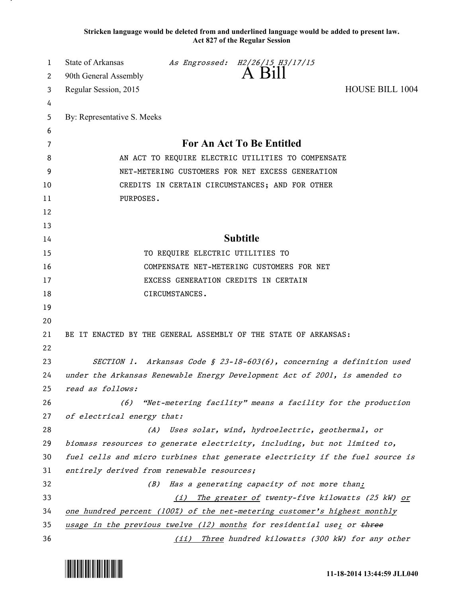**Stricken language would be deleted from and underlined language would be added to present law. Act 827 of the Regular Session**

| 1  | <b>State of Arkansas</b>                                                   |                                  | As Engrossed: H2/26/15 H3/17/15                     |                                                                               |  |
|----|----------------------------------------------------------------------------|----------------------------------|-----------------------------------------------------|-------------------------------------------------------------------------------|--|
| 2  | 90th General Assembly                                                      |                                  | A Bill                                              |                                                                               |  |
| 3  | Regular Session, 2015                                                      |                                  |                                                     | <b>HOUSE BILL 1004</b>                                                        |  |
| 4  |                                                                            |                                  |                                                     |                                                                               |  |
| 5  | By: Representative S. Meeks                                                |                                  |                                                     |                                                                               |  |
| 6  |                                                                            |                                  |                                                     |                                                                               |  |
| 7  | For An Act To Be Entitled                                                  |                                  |                                                     |                                                                               |  |
| 8  | AN ACT TO REQUIRE ELECTRIC UTILITIES TO COMPENSATE                         |                                  |                                                     |                                                                               |  |
| 9  | NET-METERING CUSTOMERS FOR NET EXCESS GENERATION                           |                                  |                                                     |                                                                               |  |
| 10 | CREDITS IN CERTAIN CIRCUMSTANCES; AND FOR OTHER                            |                                  |                                                     |                                                                               |  |
| 11 | PURPOSES.                                                                  |                                  |                                                     |                                                                               |  |
| 12 |                                                                            |                                  |                                                     |                                                                               |  |
| 13 |                                                                            |                                  |                                                     |                                                                               |  |
| 14 | <b>Subtitle</b>                                                            |                                  |                                                     |                                                                               |  |
| 15 |                                                                            | TO REQUIRE ELECTRIC UTILITIES TO |                                                     |                                                                               |  |
| 16 |                                                                            |                                  | COMPENSATE NET-METERING CUSTOMERS FOR NET           |                                                                               |  |
| 17 |                                                                            |                                  | EXCESS GENERATION CREDITS IN CERTAIN                |                                                                               |  |
| 18 |                                                                            | CIRCUMSTANCES.                   |                                                     |                                                                               |  |
| 19 |                                                                            |                                  |                                                     |                                                                               |  |
| 20 |                                                                            |                                  |                                                     |                                                                               |  |
| 21 | BE IT ENACTED BY THE GENERAL ASSEMBLY OF THE STATE OF ARKANSAS:            |                                  |                                                     |                                                                               |  |
| 22 |                                                                            |                                  |                                                     |                                                                               |  |
| 23 | SECTION 1. Arkansas Code § 23-18-603(6), concerning a definition used      |                                  |                                                     |                                                                               |  |
| 24 | under the Arkansas Renewable Energy Development Act of 2001, is amended to |                                  |                                                     |                                                                               |  |
| 25 | read as follows:                                                           |                                  |                                                     |                                                                               |  |
| 26 | (6)                                                                        |                                  |                                                     | "Net-metering facility" means a facility for the production                   |  |
| 27 | of electrical energy that:                                                 |                                  |                                                     |                                                                               |  |
| 28 |                                                                            |                                  | (A) Uses solar, wind, hydroelectric, geothermal, or |                                                                               |  |
| 29 | biomass resources to generate electricity, including, but not limited to,  |                                  |                                                     |                                                                               |  |
| 30 |                                                                            |                                  |                                                     | fuel cells and micro turbines that generate electricity if the fuel source is |  |
| 31 | entirely derived from renewable resources;                                 |                                  |                                                     |                                                                               |  |
| 32 | (B)                                                                        |                                  | Has a generating capacity of not more than:         |                                                                               |  |
| 33 | The greater of twenty-five kilowatts (25 kW) or<br>(i)                     |                                  |                                                     |                                                                               |  |
| 34 | one hundred percent (100%) of the net-metering customer's highest monthly  |                                  |                                                     |                                                                               |  |
| 35 | usage in the previous twelve (12) months for residential use; or three     |                                  |                                                     |                                                                               |  |
| 36 |                                                                            |                                  |                                                     | (ii) Three hundred kilowatts (300 kW) for any other                           |  |



.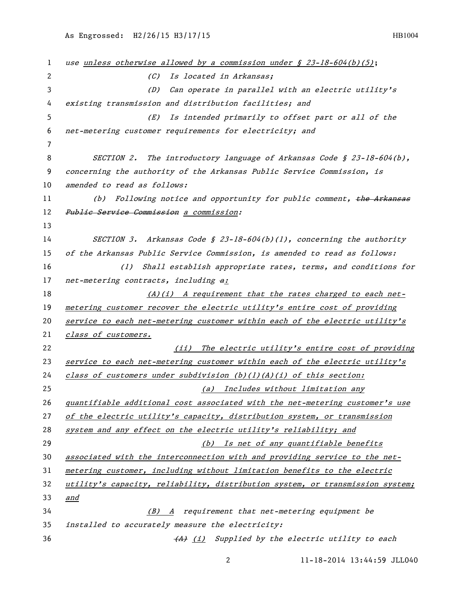| 1  | use unless otherwise allowed by a commission under $\oint$ 23-18-604(b)(5);   |
|----|-------------------------------------------------------------------------------|
| 2  | (C) Is located in Arkansas;                                                   |
| 3  | Can operate in parallel with an electric utility's<br>(D)                     |
| 4  | existing transmission and distribution facilities; and                        |
| 5  | Is intended primarily to offset part or all of the<br>(E)                     |
| 6  | net-metering customer requirements for electricity; and                       |
| 7  |                                                                               |
| 8  | SECTION 2. The introductory language of Arkansas Code $\S$ 23-18-604(b),      |
| 9  | concerning the authority of the Arkansas Public Service Commission, is        |
| 10 | amended to read as follows:                                                   |
| 11 | Following notice and opportunity for public comment, the Arkansas<br>(b)      |
| 12 | Public Service Commission a commission:                                       |
| 13 |                                                                               |
| 14 | SECTION 3. Arkansas Code § 23-18-604(b)(1), concerning the authority          |
| 15 | of the Arkansas Public Service Commission, is amended to read as follows:     |
| 16 | (1) Shall establish appropriate rates, terms, and conditions for              |
| 17 | net-metering contracts, including a:                                          |
| 18 | (A)(i) A requirement that the rates charged to each net-                      |
| 19 | metering customer recover the electric utility's entire cost of providing     |
| 20 | service to each net-metering customer within each of the electric utility's   |
| 21 | class of customers.                                                           |
| 22 | (ii) The electric utility's entire cost of providing                          |
| 23 | service to each net-metering customer within each of the electric utility's   |
| 24 | class of customers under subdivision $(b)(1)(A)(i)$ of this section:          |
| 25 | (a) Includes without limitation any                                           |
| 26 | quantifiable additional cost associated with the net-metering customer's use  |
| 27 | of the electric utility's capacity, distribution system, or transmission      |
| 28 | system and any effect on the electric utility's reliability; and              |
| 29 | (b) Is net of any quantifiable benefits                                       |
| 30 | associated with the interconnection with and providing service to the net-    |
| 31 | metering customer, including without limitation benefits to the electric      |
| 32 | utility's capacity, reliability, distribution system, or transmission system; |
| 33 | and                                                                           |
| 34 | $(B)$ A requirement that net-metering equipment be                            |
| 35 | installed to accurately measure the electricity:                              |
| 36 | (A) (i) Supplied by the electric utility to each                              |

11-18-2014 13:44:59 JLL040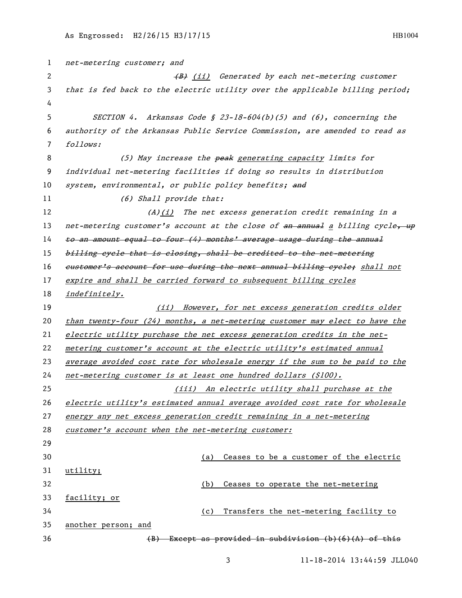net-metering customer; and 2 (B) (ii) Generated by each net-metering customer that is fed back to the electric utility over the applicable billing period; SECTION 4. Arkansas Code § 23-18-604(b)(5) and (6), concerning the authority of the Arkansas Public Service Commission, are amended to read as follows: 8 (5) May increase the peak generating capacity limits for individual net-metering facilities if doing so results in distribution 10 system, environmental, or public policy benefits; and 11 (6) Shall provide that:  $(A)(i)$  The net excess generation credit remaining in a 13 net-metering customer's account at the close of  $an$  annual a billing cycle, up 14 to an amount equal to four (4) months' average usage during the annual 15 billing eyele that is closing, shall be eredited to the net-metering 16 customer's account for use during the next annual billing eyele; shall not expire and shall be carried forward to subsequent billing cycles *indefinitely.* 19 (ii) However, for net excess generation credits older than twenty-four (24) months, a net-metering customer may elect to have the electric utility purchase the net excess generation credits in the net- metering customer's account at the electric utility's estimated annual average avoided cost rate for wholesale energy if the sum to be paid to the net-metering customer is at least one hundred dollars (\$100). (iii) An electric utility shall purchase at the electric utility's estimated annual average avoided cost rate for wholesale energy any net excess generation credit remaining in a net-metering customer's account when the net-metering customer: (a) Ceases to be a customer of the electric utility; (b) Ceases to operate the net-metering facility; or (c) Transfers the net-metering facility to another person; and  $(B)$  Except as provided in subdivision (b)(6)(A) of this

11-18-2014 13:44:59 JLL040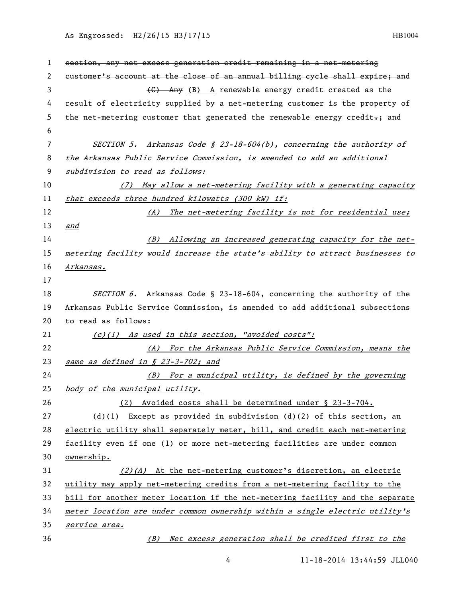## As Engrossed: H2/26/15 H3/17/15 HB1004

| 1  | section, any net excess generation credit remaining in a net-metering         |
|----|-------------------------------------------------------------------------------|
| 2  | eustomer's account at the close of an annual billing cycle shall expire; and  |
| 3  | (G) Any (B) A renewable energy credit created as the                          |
| 4  | result of electricity supplied by a net-metering customer is the property of  |
| 5  | the net-metering customer that generated the renewable energy credit-; and    |
| 6  |                                                                               |
| 7  | SECTION 5. Arkansas Code § 23-18-604(b), concerning the authority of          |
| 8  | the Arkansas Public Service Commission, is amended to add an additional       |
| 9  | subdivision to read as follows:                                               |
| 10 | May allow a net-metering facility with a generating capacity<br>(7)           |
| 11 | that exceeds three hundred kilowatts (300 kW) if:                             |
| 12 | The net-metering facility is not for residential use;<br>(A)                  |
| 13 | <u>and</u>                                                                    |
| 14 | (B) Allowing an increased generating capacity for the net-                    |
| 15 | metering facility would increase the state's ability to attract businesses to |
| 16 | Arkansas.                                                                     |
| 17 |                                                                               |
| 18 | SECTION 6. Arkansas Code § 23-18-604, concerning the authority of the         |
| 19 | Arkansas Public Service Commission, is amended to add additional subsections  |
| 20 | to read as follows:                                                           |
| 21 | (c)(1) As used in this section, "avoided costs":                              |
| 22 | (A) For the Arkansas Public Service Commission, means the                     |
| 23 | same as defined in § 23-3-702; and                                            |
| 24 | (B) For a municipal utility, is defined by the governing                      |
| 25 | body of the municipal utility.                                                |
| 26 | Avoided costs shall be determined under § 23-3-704.<br>(2)                    |
| 27 | (d)(l) Except as provided in subdivision (d)(2) of this section, an           |
| 28 | electric utility shall separately meter, bill, and credit each net-metering   |
| 29 | facility even if one (1) or more net-metering facilities are under common     |
| 30 | ownership.                                                                    |
| 31 | $(2)(A)$ At the net-metering customer's discretion, an electric               |
| 32 | utility may apply net-metering credits from a net-metering facility to the    |
| 33 | bill for another meter location if the net-metering facility and the separate |
| 34 | meter location are under common ownership within a single electric utility's  |
| 35 | service area.                                                                 |
| 36 | (B) Net excess generation shall be credited first to the                      |

4 11-18-2014 13:44:59 JLL040